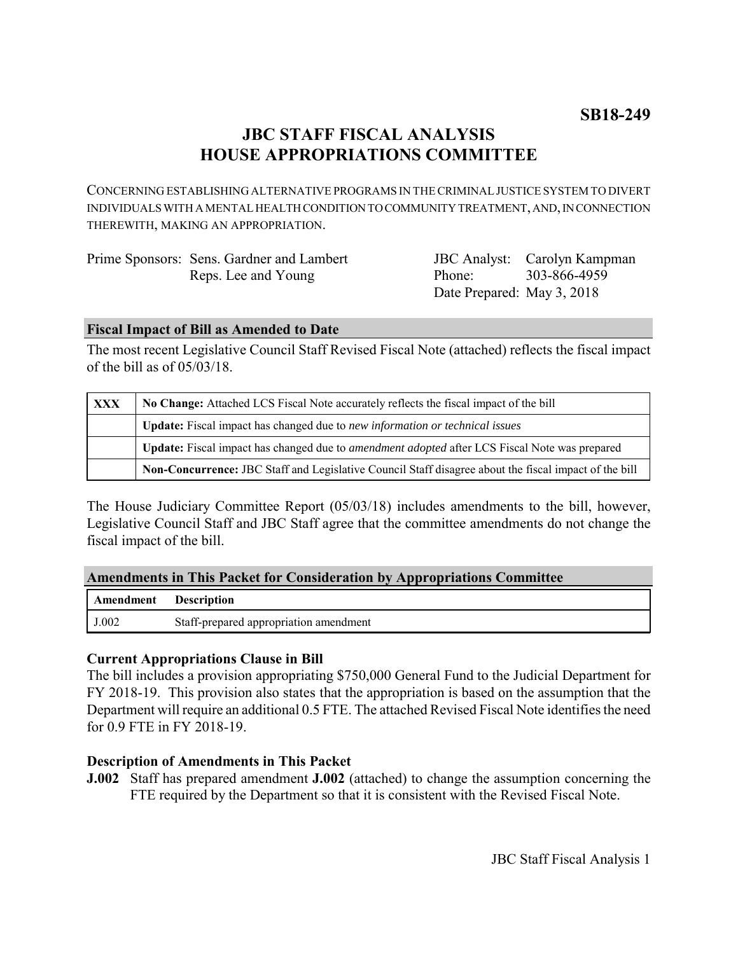# **JBC STAFF FISCAL ANALYSIS HOUSE APPROPRIATIONS COMMITTEE**

CONCERNING ESTABLISHING ALTERNATIVE PROGRAMS IN THE CRIMINAL JUSTICE SYSTEM TO DIVERT INDIVIDUALS WITH A MENTAL HEALTH CONDITION TO COMMUNITY TREATMENT, AND, IN CONNECTION THEREWITH, MAKING AN APPROPRIATION.

| Prime Sponsors: Sens. Gardner and Lambert |                            | <b>JBC</b> Analyst: Carolyn Kampman |
|-------------------------------------------|----------------------------|-------------------------------------|
| Reps. Lee and Young                       | Phone:                     | 303-866-4959                        |
|                                           | Date Prepared: May 3, 2018 |                                     |

### **Fiscal Impact of Bill as Amended to Date**

The most recent Legislative Council Staff Revised Fiscal Note (attached) reflects the fiscal impact of the bill as of 05/03/18.

| <b>XXX</b> | No Change: Attached LCS Fiscal Note accurately reflects the fiscal impact of the bill                 |  |
|------------|-------------------------------------------------------------------------------------------------------|--|
|            | Update: Fiscal impact has changed due to new information or technical issues                          |  |
|            | Update: Fiscal impact has changed due to <i>amendment adopted</i> after LCS Fiscal Note was prepared  |  |
|            | Non-Concurrence: JBC Staff and Legislative Council Staff disagree about the fiscal impact of the bill |  |

The House Judiciary Committee Report (05/03/18) includes amendments to the bill, however, Legislative Council Staff and JBC Staff agree that the committee amendments do not change the fiscal impact of the bill.

|  | <b>Amendments in This Packet for Consideration by Appropriations Committee</b> |  |
|--|--------------------------------------------------------------------------------|--|
|  |                                                                                |  |

| <b>Amendment</b> Description |                                        |
|------------------------------|----------------------------------------|
| J.002                        | Staff-prepared appropriation amendment |

### **Current Appropriations Clause in Bill**

The bill includes a provision appropriating \$750,000 General Fund to the Judicial Department for FY 2018-19. This provision also states that the appropriation is based on the assumption that the Department will require an additional 0.5 FTE. The attached Revised Fiscal Note identifies the need for 0.9 FTE in FY 2018-19.

### **Description of Amendments in This Packet**

**J.002** Staff has prepared amendment **J.002** (attached) to change the assumption concerning the FTE required by the Department so that it is consistent with the Revised Fiscal Note.